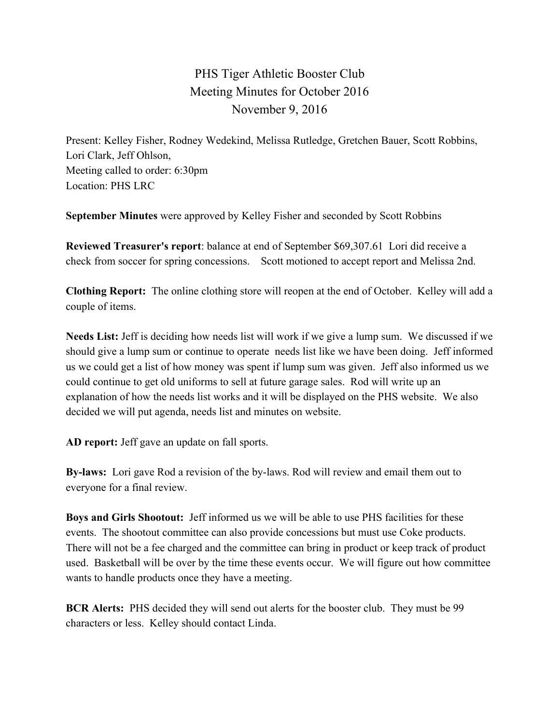## PHS Tiger Athletic Booster Club Meeting Minutes for October 2016 November 9, 2016

Present: Kelley Fisher, Rodney Wedekind, Melissa Rutledge, Gretchen Bauer, Scott Robbins, Lori Clark, Jeff Ohlson, Meeting called to order: 6:30pm Location: PHS LRC

**September Minutes** were approved by Kelley Fisher and seconded by Scott Robbins

**Reviewed Treasurer's report**: balance at end of September \$69,307.61 Lori did receive a check from soccer for spring concessions. Scott motioned to accept report and Melissa 2nd.

**Clothing Report:** The online clothing store will reopen at the end of October. Kelley will add a couple of items.

**Needs List:** Jeff is deciding how needs list will work if we give a lump sum. We discussed if we should give a lump sum or continue to operate needs list like we have been doing. Jeff informed us we could get a list of how money was spent if lump sum was given. Jeff also informed us we could continue to get old uniforms to sell at future garage sales. Rod will write up an explanation of how the needs list works and it will be displayed on the PHS website. We also decided we will put agenda, needs list and minutes on website.

**AD report:** Jeff gave an update on fall sports.

**By-laws:**  Lori gave Rod a revision of the by-laws. Rod will review and email them out to everyone for a final review.

**Boys and Girls Shootout:**  Jeff informed us we will be able to use PHS facilities for these events. The shootout committee can also provide concessions but must use Coke products. There will not be a fee charged and the committee can bring in product or keep track of product used. Basketball will be over by the time these events occur. We will figure out how committee wants to handle products once they have a meeting.

**BCR Alerts:** PHS decided they will send out alerts for the booster club. They must be 99 characters or less. Kelley should contact Linda.